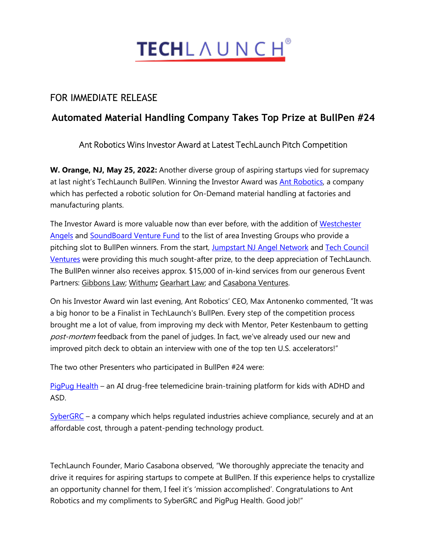

## FOR IMMEDIATE RELEASE

# **Automated Material Handling Company Takes Top Prize at BullPen #24**

### Ant Robotics Wins Investor Award at Latest TechLaunch Pitch Competition

**W. Orange, NJ, May 25, 2022:** Another diverse group of aspiring startups vied for supremacy at last night's TechLaunch BullPen. Winning the Investor Award was **Ant Robotics**, a company which has perfected a robotic solution for On-Demand material handling at factories and manufacturing plants.

The Investor Award is more valuable now than ever before, with the addition of [Westchester](https://westchesterangels.com/)  [Angels](https://westchesterangels.com/) and [SoundBoard Venture Fund](https://www.soundboardventurefund.com/) to the list of area Investing Groups who provide a pitching slot to BullPen winners. From the start, [Jumpstart NJ Angel Network](https://www.jumpstartnj.org/) and [Tech Council](https://techcouncilventures.com/)  [Ventures](https://techcouncilventures.com/) were providing this much sought-after prize, to the deep appreciation of TechLaunch. The BullPen winner also receives approx. \$15,000 of in-kind services from our generous Event Partners: [Gibbons Law;](https://www.gibbonslaw.com/) [Withum](http://www.withum.com/)**;** [Gearhart Law;](https://www.gearhartlaw.com/) and [Casabona](http://www.casabonaventures.com/) Ventures.

On his Investor Award win last evening, Ant Robotics' CEO, Max Antonenko commented, "It was a big honor to be a Finalist in TechLaunch's BullPen. Every step of the competition process brought me a lot of value, from improving my deck with Mentor, Peter Kestenbaum to getting post-mortem feedback from the panel of judges. In fact, we've already used our new and improved pitch deck to obtain an interview with one of the top ten U.S. accelerators!"

The two other Presenters who participated in BullPen #24 were:

[PigPug Health](https://pigpug.co/) – an AI drug-free telemedicine brain-training platform for kids with ADHD and ASD.

[SyberGRC](http://www.sybergrc.com/) – a company which helps regulated industries achieve compliance, securely and at an affordable cost, through a patent-pending technology product.

TechLaunch Founder, Mario Casabona observed, "We thoroughly appreciate the tenacity and drive it requires for aspiring startups to compete at BullPen. If this experience helps to crystallize an opportunity channel for them, I feel it's 'mission accomplished'. Congratulations to Ant Robotics and my compliments to SyberGRC and PigPug Health. Good job!"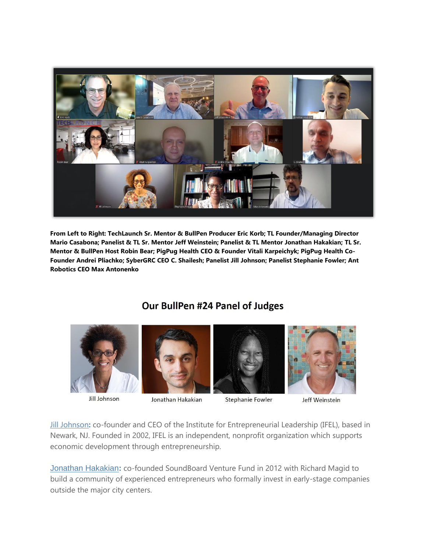

**From Left to Right: TechLaunch Sr. Mentor & BullPen Producer Eric Korb; TL Founder/Managing Director Mario Casabona; Panelist & TL Sr. Mentor Jeff Weinstein; Panelist & TL Mentor Jonathan Hakakian; TL Sr. Mentor & BullPen Host Robin Bear; PigPug Health CEO & Founder Vitali Karpeichyk; PigPug Health Co-Founder Andrei Pliachko; SyberGRC CEO C. Shailesh; Panelist Jill Johnson; Panelist Stephanie Fowler; Ant Robotics CEO Max Antonenko**

# Our BullPen #24 Panel of Judges



**Jill Johnson** 



#### Jonathan Hakakian





#### Jeff Weinstein

[Jill Johnson](https://www.linkedin.com/in/smallbizexpert/)**:** co-founder and CEO of the Institute for Entrepreneurial Leadership (IFEL), based in Newark, NJ. Founded in 2002, IFEL is an independent, nonprofit organization which supports economic development through entrepreneurship.

[Jonathan Hakakian](https://www.linkedin.com/in/jhakakian/)**:** co-founded SoundBoard Venture Fund in 2012 with Richard Magid to build a community of experienced entrepreneurs who formally invest in early-stage companies outside the major city centers.